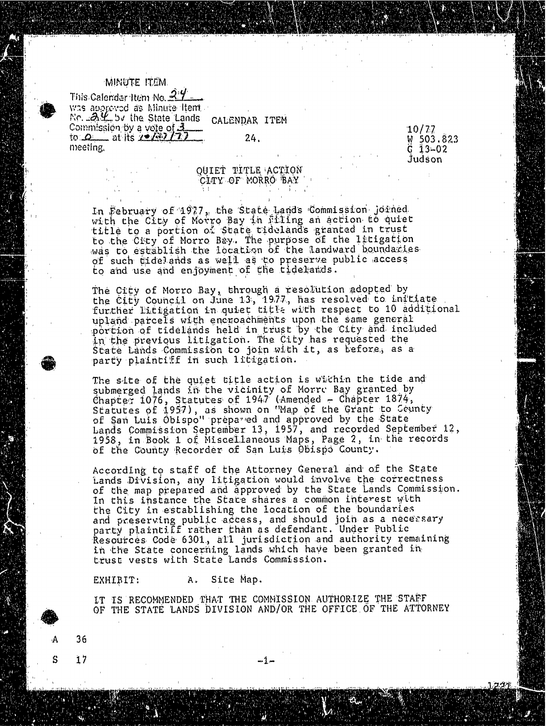## MINUTE ITEM.

This Calender Item No. 27 was approved as Minute Item. No.  $24$  by the State Lands CALENDAR ITEM Commission by a vote of  $32$ <br>
to: $0.2$  at its  $22/3$   $72$  24. W 503.823<br>
meeting.  $\begin{array}{ccc}\n & 10/77 \\
 & 3-02 \\
 & 3-02\n\end{array}$ meeting. G  $\frac{1}{2}$ 3-02

Judson

## QUIET TITLE ACTION CITY OF MORRO BAY

In February of 1917, the State Lands Commission joined with the City of Motro Bay in Filing an action to quiet title to a portion of State tideland's granted in trust to the City of Morro Bay. The purpose of the litigation was to establish the location of the landward boundaries of such tidelands as well as to preserve public access to and use and enjoyment of the tidelands.

The City of Morro Bay, through a resolution adopted by the City Council on June 13, 1977, has resolved to further litigation in quiet title with respect to 10 additional to 10 additional to 10 additional to 10 additio upland parcels with encroachments upon the same general portion of tidelands held in trust by the City and included in the previous litigation. The City has requested the State Lands Commission to join with it, as before, as a party plaintiff in such litigation.

The site of the quiet title action is within the tide and submerged lands in the vicinity of Morre Bay granted by Chapter 1076, Statutes of 1947 (Amended - Chapter 1874, Statutes of  $1957$ ), as shown on "Map of the Grant to of San Luis Obispo" prepared and approved by the State of the State of State State of State of State of State of State of State of State of State of State of State of State of State of State of State of State of State of S Lands Commission September 13, 1957, and recorded September 12, 1958, in Book 1 of Miscellaneous Maps, Page 2, in the records of the County Recorder of San Luis Obispo County.

According to staff of the Attorney General and of the State Lands Division, any litigation would involve the correctness of the map prepared and approved by the State Land's Commission. In this instance the State shares a common interest with the City in establishing the location of the boundaries and preserving public access, and should join as a necessary party plaintiff rather than as defendant. Under Public Resources Code 6301, all jurisdiction and authority remaining in the State concerning lands which have been granted in trust vests with State Lands Commission.

EXHIBIT: A. Site Map.

 $S = 17$  -1

36

IT IS RECOMMENDED THAT THE COMMISSION. AUTHORIZE THE STAFF OF THE STATE LANDS DIVISION AND/OR THE OFFICE OF THE ATTORNEY